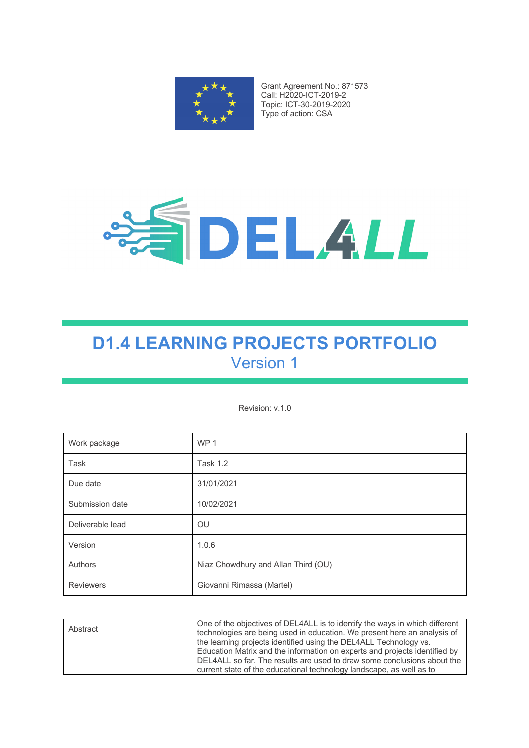

Grant Agreement No.: 871573 Call: H2020-ICT-2019-2 Topic: ICT-30-2019-2020 Type of action: CSA



# **D1.4 LEARNING PROJECTS PORTFOLIO** Version 1

Revision: v.1.0

| Work package     | WP <sub>1</sub>                     |
|------------------|-------------------------------------|
| <b>Task</b>      | <b>Task 1.2</b>                     |
| Due date         | 31/01/2021                          |
| Submission date  | 10/02/2021                          |
| Deliverable lead | OU                                  |
| Version          | 1.0.6                               |
| Authors          | Niaz Chowdhury and Allan Third (OU) |
| <b>Reviewers</b> | Giovanni Rimassa (Martel)           |

| Abstract | One of the objectives of DEL4ALL is to identify the ways in which different<br>technologies are being used in education. We present here an analysis of<br>the learning projects identified using the DEL4ALL Technology vs.<br>Education Matrix and the information on experts and projects identified by<br>DEL4ALL so far. The results are used to draw some conclusions about the |
|----------|---------------------------------------------------------------------------------------------------------------------------------------------------------------------------------------------------------------------------------------------------------------------------------------------------------------------------------------------------------------------------------------|
|          | current state of the educational technology landscape, as well as to                                                                                                                                                                                                                                                                                                                  |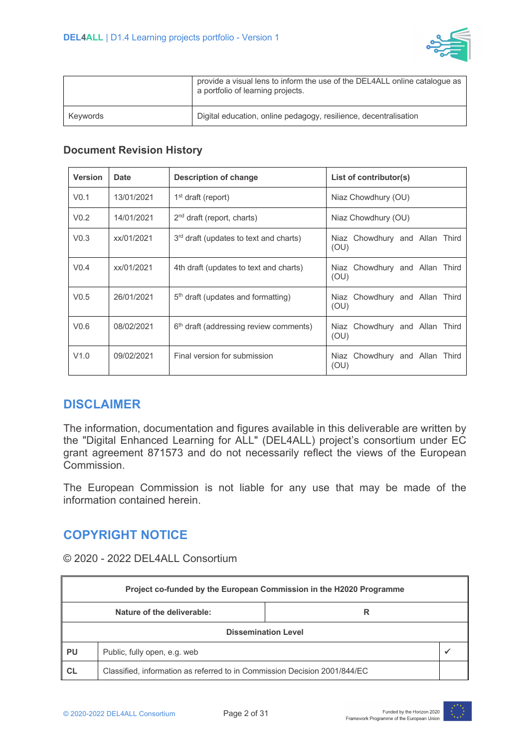

|          | provide a visual lens to inform the use of the DEL4ALL online catalogue as<br>a portfolio of learning projects. |
|----------|-----------------------------------------------------------------------------------------------------------------|
| Keywords | Digital education, online pedagogy, resilience, decentralisation                                                |

#### **Document Revision History**

| <b>Version</b>   | <b>Date</b> | <b>Description of change</b>                       | List of contributor(s)                 |
|------------------|-------------|----------------------------------------------------|----------------------------------------|
| V <sub>0.1</sub> | 13/01/2021  | $1st$ draft (report)                               | Niaz Chowdhury (OU)                    |
| V <sub>0.2</sub> | 14/01/2021  | $2nd$ draft (report, charts)                       | Niaz Chowdhury (OU)                    |
| V <sub>0.3</sub> | xx/01/2021  | 3 <sup>rd</sup> draft (updates to text and charts) | Niaz Chowdhury and Allan Third<br>(OU) |
| V <sub>0.4</sub> | xx/01/2021  | 4th draft (updates to text and charts)             | Niaz Chowdhury and Allan Third<br>(OU) |
| V <sub>0.5</sub> | 26/01/2021  | $5th$ draft (updates and formatting)               | Niaz Chowdhury and Allan Third<br>(OU) |
| V <sub>0.6</sub> | 08/02/2021  | 6 <sup>th</sup> draft (addressing review comments) | Niaz Chowdhury and Allan Third<br>(OU) |
| V1.0             | 09/02/2021  | Final version for submission                       | Niaz Chowdhury and Allan Third<br>(OU) |

#### **DISCLAIMER**

The information, documentation and figures available in this deliverable are written by the "Digital Enhanced Learning for ALL" (DEL4ALL) project's consortium under EC grant agreement 871573 and do not necessarily reflect the views of the European Commission.

The European Commission is not liable for any use that may be made of the information contained herein.

#### **COPYRIGHT NOTICE**

© 2020 - 2022 DEL4ALL Consortium

| Project co-funded by the European Commission in the H2020 Programme |                                                                           |  |  |  |
|---------------------------------------------------------------------|---------------------------------------------------------------------------|--|--|--|
|                                                                     | Nature of the deliverable:<br>R                                           |  |  |  |
|                                                                     | <b>Dissemination Level</b>                                                |  |  |  |
| <b>PU</b><br>Public, fully open, e.g. web                           |                                                                           |  |  |  |
| <b>CL</b>                                                           | Classified, information as referred to in Commission Decision 2001/844/EC |  |  |  |

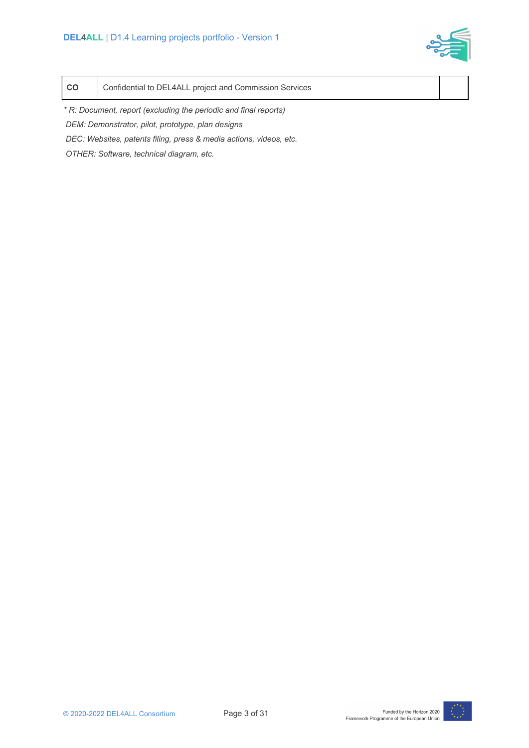

| l co | Confidential to DEL4ALL project and Commission Services |  |  |
|------|---------------------------------------------------------|--|--|
|------|---------------------------------------------------------|--|--|

*\* R: Document, report (excluding the periodic and final reports) DEM: Demonstrator, pilot, prototype, plan designs* 

*DEC: Websites, patents filing, press & media actions, videos, etc.*

*OTHER: Software, technical diagram, etc.*

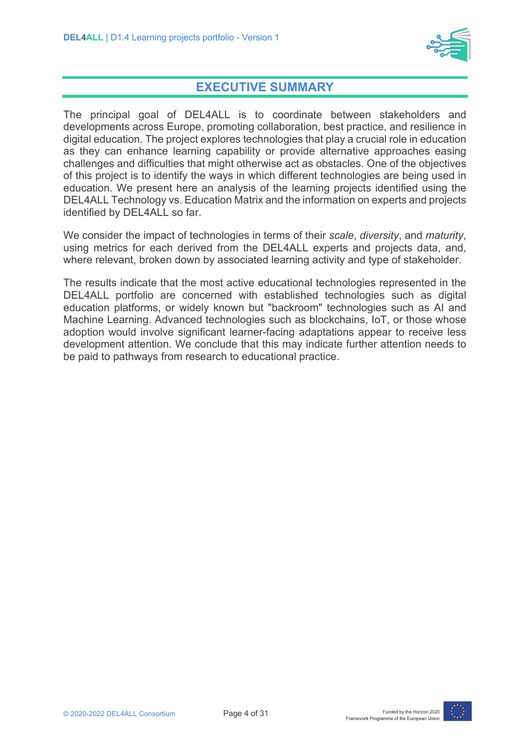

### **EXECUTIVE SUMMARY**

The principal goal of DEL4ALL is to coordinate between stakeholders and developments across Europe, promoting collaboration, best practice, and resilience in digital education. The project explores technologies that play a crucial role in education as they can enhance learning capability or provide alternative approaches easing challenges and difficulties that might otherwise act as obstacles. One of the objectives of this project is to identify the ways in which different technologies are being used in education. We present here an analysis of the learning projects identified using the DEL4ALL Technology vs. Education Matrix and the information on experts and projects identified by DEL4ALL so far.

We consider the impact of technologies in terms of their *scale*, *diversity*, and *maturity*, using metrics for each derived from the DEL4ALL experts and projects data, and, where relevant, broken down by associated learning activity and type of stakeholder.

The results indicate that the most active educational technologies represented in the DEL4ALL portfolio are concerned with established technologies such as digital education platforms, or widely known but "backroom" technologies such as AI and Machine Learning. Advanced technologies such as blockchains, IoT, or those whose adoption would involve significant learner-facing adaptations appear to receive less development attention. We conclude that this may indicate further attention needs to be paid to pathways from research to educational practice.

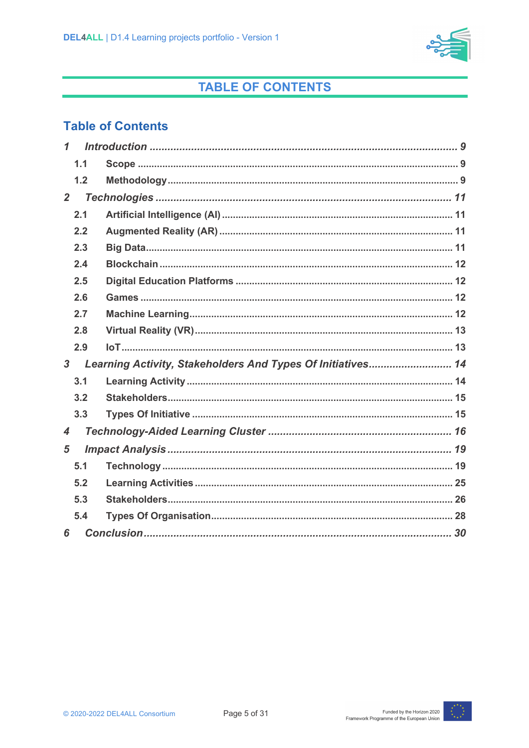

## **TABLE OF CONTENTS**

### **Table of Contents**

| $\mathbf 1$    |     |                                                             |  |
|----------------|-----|-------------------------------------------------------------|--|
|                | 1.1 |                                                             |  |
|                | 1.2 |                                                             |  |
| $2^{\circ}$    |     |                                                             |  |
|                | 2.1 |                                                             |  |
|                | 2.2 |                                                             |  |
|                | 2.3 |                                                             |  |
|                | 2.4 |                                                             |  |
|                | 2.5 |                                                             |  |
|                | 2.6 |                                                             |  |
|                | 2.7 |                                                             |  |
|                | 2.8 |                                                             |  |
|                | 2.9 |                                                             |  |
| $\overline{3}$ |     | Learning Activity, Stakeholders And Types Of Initiatives 14 |  |
|                | 3.1 |                                                             |  |
|                | 3.2 |                                                             |  |
|                | 3.3 |                                                             |  |
| 4              |     |                                                             |  |
| 5              |     |                                                             |  |
|                | 5.1 |                                                             |  |
|                | 5.2 |                                                             |  |
|                | 5.3 |                                                             |  |
|                | 5.4 |                                                             |  |
| 6              |     |                                                             |  |

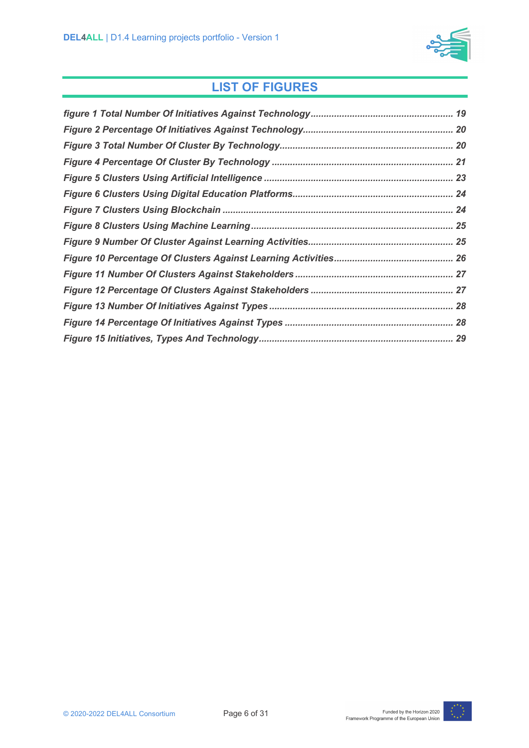

## **LIST OF FIGURES**

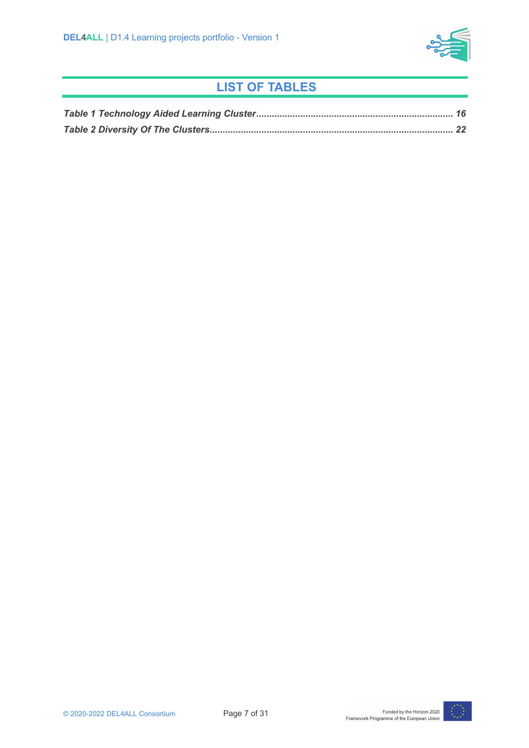

## **LIST OF TABLES**

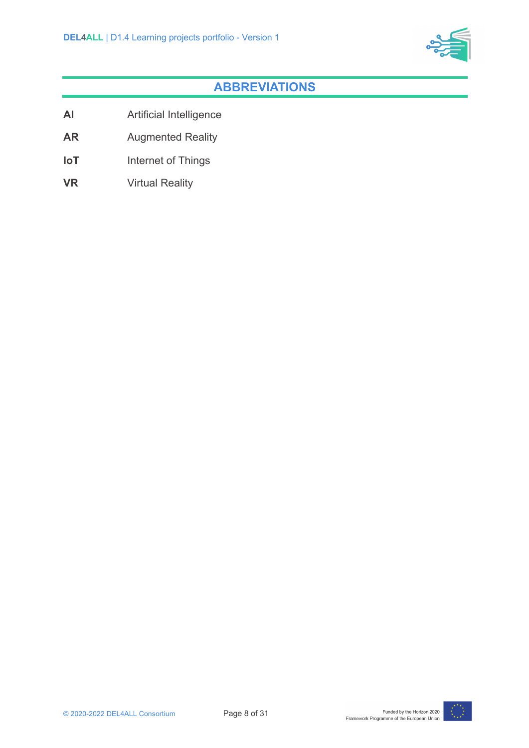

### **ABBREVIATIONS**

- **AI** Artificial Intelligence
- **AR** Augmented Reality
- **IoT** Internet of Things
- **VR** Virtual Reality

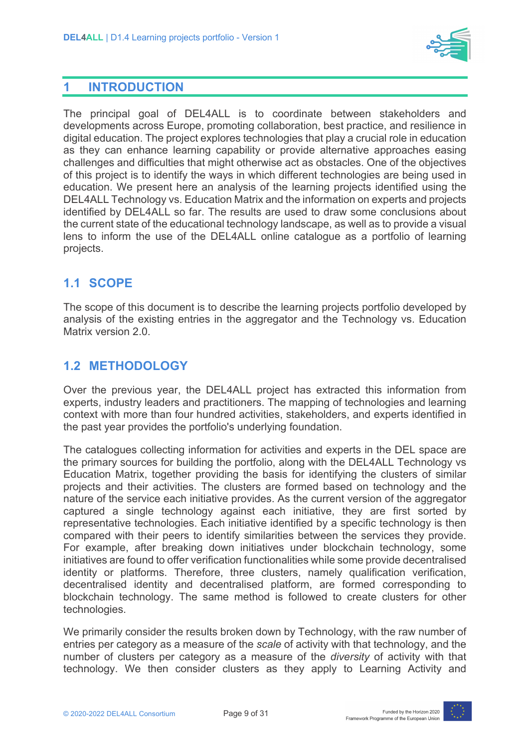

#### **1 INTRODUCTION**

The principal goal of DEL4ALL is to coordinate between stakeholders and developments across Europe, promoting collaboration, best practice, and resilience in digital education. The project explores technologies that play a crucial role in education as they can enhance learning capability or provide alternative approaches easing challenges and difficulties that might otherwise act as obstacles. One of the objectives of this project is to identify the ways in which different technologies are being used in education. We present here an analysis of the learning projects identified using the DEL4ALL Technology vs. Education Matrix and the information on experts and projects identified by DEL4ALL so far. The results are used to draw some conclusions about the current state of the educational technology landscape, as well as to provide a visual lens to inform the use of the DEL4ALL online catalogue as a portfolio of learning projects.

#### **1.1 SCOPE**

The scope of this document is to describe the learning projects portfolio developed by analysis of the existing entries in the aggregator and the Technology vs. Education Matrix version 2.0.

#### **1.2 METHODOLOGY**

Over the previous year, the DEL4ALL project has extracted this information from experts, industry leaders and practitioners. The mapping of technologies and learning context with more than four hundred activities, stakeholders, and experts identified in the past year provides the portfolio's underlying foundation.

The catalogues collecting information for activities and experts in the DEL space are the primary sources for building the portfolio, along with the DEL4ALL Technology vs Education Matrix, together providing the basis for identifying the clusters of similar projects and their activities. The clusters are formed based on technology and the nature of the service each initiative provides. As the current version of the aggregator captured a single technology against each initiative, they are first sorted by representative technologies. Each initiative identified by a specific technology is then compared with their peers to identify similarities between the services they provide. For example, after breaking down initiatives under blockchain technology, some initiatives are found to offer verification functionalities while some provide decentralised identity or platforms. Therefore, three clusters, namely qualification verification, decentralised identity and decentralised platform, are formed corresponding to blockchain technology. The same method is followed to create clusters for other technologies.

We primarily consider the results broken down by Technology, with the raw number of entries per category as a measure of the *scale* of activity with that technology, and the number of clusters per category as a measure of the *diversity* of activity with that technology. We then consider clusters as they apply to Learning Activity and

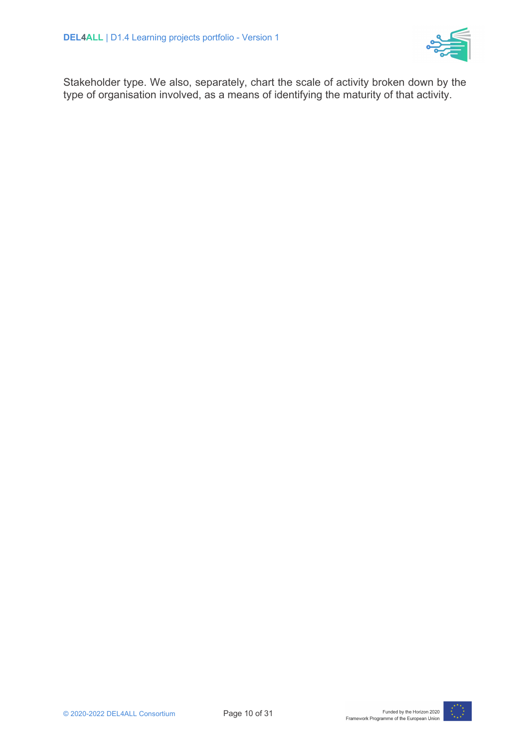

Stakeholder type. We also, separately, chart the scale of activity broken down by the type of organisation involved, as a means of identifying the maturity of that activity.

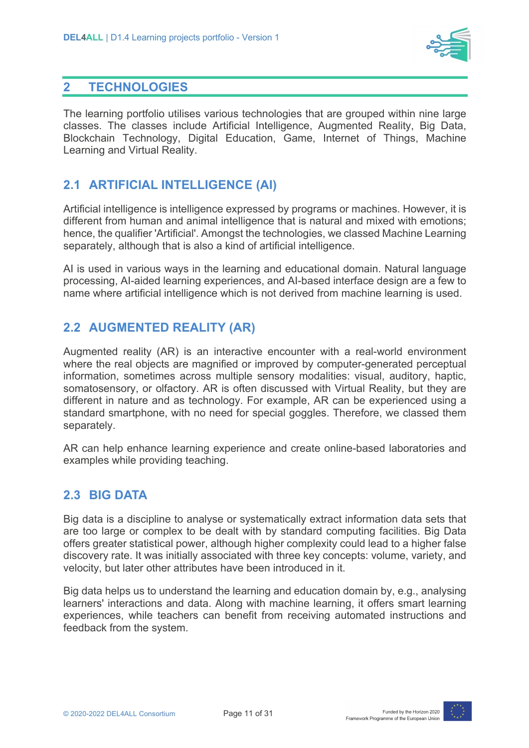

#### **2 TECHNOLOGIES**

The learning portfolio utilises various technologies that are grouped within nine large classes. The classes include Artificial Intelligence, Augmented Reality, Big Data, Blockchain Technology, Digital Education, Game, Internet of Things, Machine Learning and Virtual Reality.

#### **2.1 ARTIFICIAL INTELLIGENCE (AI)**

Artificial intelligence is intelligence expressed by programs or machines. However, it is different from human and animal intelligence that is natural and mixed with emotions; hence, the qualifier 'Artificial'. Amongst the technologies, we classed Machine Learning separately, although that is also a kind of artificial intelligence.

AI is used in various ways in the learning and educational domain. Natural language processing, AI-aided learning experiences, and AI-based interface design are a few to name where artificial intelligence which is not derived from machine learning is used.

#### **2.2 AUGMENTED REALITY (AR)**

Augmented reality (AR) is an interactive encounter with a real-world environment where the real objects are magnified or improved by computer-generated perceptual information, sometimes across multiple sensory modalities: visual, auditory, haptic, somatosensory, or olfactory. AR is often discussed with Virtual Reality, but they are different in nature and as technology. For example, AR can be experienced using a standard smartphone, with no need for special goggles. Therefore, we classed them separately.

AR can help enhance learning experience and create online-based laboratories and examples while providing teaching.

#### **2.3 BIG DATA**

Big data is a discipline to analyse or systematically extract information data sets that are too large or complex to be dealt with by standard computing facilities. Big Data offers greater statistical power, although higher complexity could lead to a higher false discovery rate. It was initially associated with three key concepts: volume, variety, and velocity, but later other attributes have been introduced in it.

Big data helps us to understand the learning and education domain by, e.g., analysing learners' interactions and data. Along with machine learning, it offers smart learning experiences, while teachers can benefit from receiving automated instructions and feedback from the system.

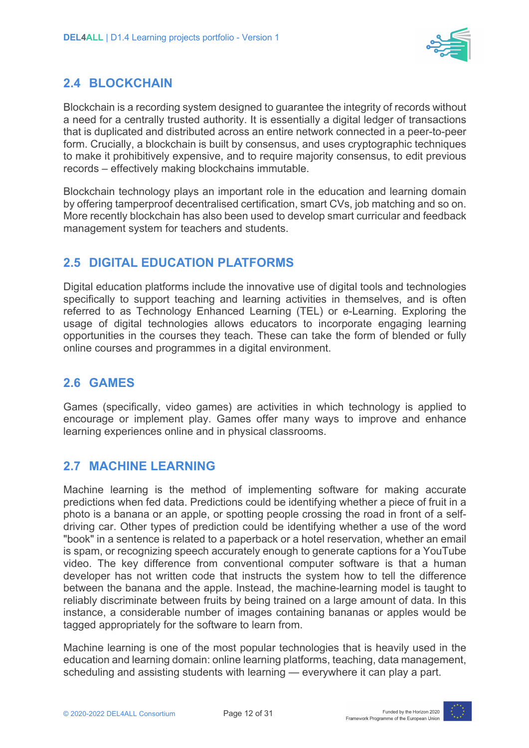

#### **2.4 BLOCKCHAIN**

Blockchain is a recording system designed to guarantee the integrity of records without a need for a centrally trusted authority. It is essentially a digital ledger of transactions that is duplicated and distributed across an entire network connected in a peer-to-peer form. Crucially, a blockchain is built by consensus, and uses cryptographic techniques to make it prohibitively expensive, and to require majority consensus, to edit previous records – effectively making blockchains immutable.

Blockchain technology plays an important role in the education and learning domain by offering tamperproof decentralised certification, smart CVs, job matching and so on. More recently blockchain has also been used to develop smart curricular and feedback management system for teachers and students.

#### **2.5 DIGITAL EDUCATION PLATFORMS**

Digital education platforms include the innovative use of digital tools and technologies specifically to support teaching and learning activities in themselves, and is often referred to as Technology Enhanced Learning (TEL) or e-Learning. Exploring the usage of digital technologies allows educators to incorporate engaging learning opportunities in the courses they teach. These can take the form of blended or fully online courses and programmes in a digital environment.

#### **2.6 GAMES**

Games (specifically, video games) are activities in which technology is applied to encourage or implement play. Games offer many ways to improve and enhance learning experiences online and in physical classrooms.

#### **2.7 MACHINE LEARNING**

Machine learning is the method of implementing software for making accurate predictions when fed data. Predictions could be identifying whether a piece of fruit in a photo is a banana or an apple, or spotting people crossing the road in front of a selfdriving car. Other types of prediction could be identifying whether a use of the word "book" in a sentence is related to a paperback or a hotel reservation, whether an email is spam, or recognizing speech accurately enough to generate captions for a YouTube video. The key difference from conventional computer software is that a human developer has not written code that instructs the system how to tell the difference between the banana and the apple. Instead, the machine-learning model is taught to reliably discriminate between fruits by being trained on a large amount of data. In this instance, a considerable number of images containing bananas or apples would be tagged appropriately for the software to learn from.

Machine learning is one of the most popular technologies that is heavily used in the education and learning domain: online learning platforms, teaching, data management, scheduling and assisting students with learning — everywhere it can play a part.

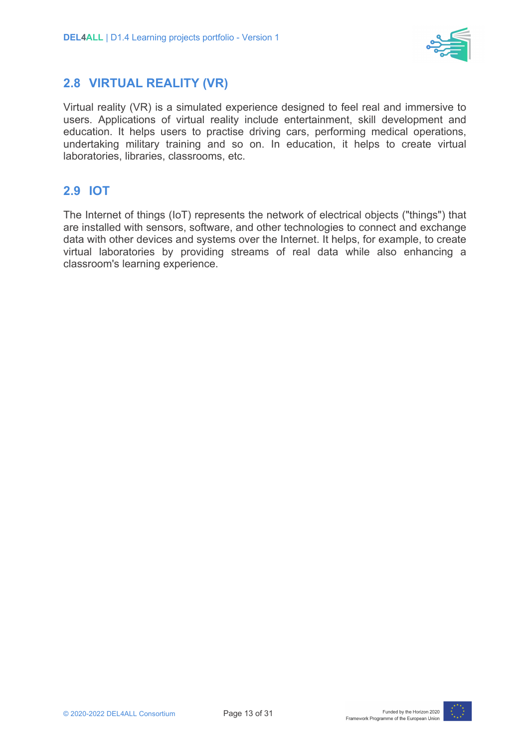

#### **2.8 VIRTUAL REALITY (VR)**

Virtual reality (VR) is a simulated experience designed to feel real and immersive to users. Applications of virtual reality include entertainment, skill development and education. It helps users to practise driving cars, performing medical operations, undertaking military training and so on. In education, it helps to create virtual laboratories, libraries, classrooms, etc.

#### **2.9 IOT**

The Internet of things (IoT) represents the network of electrical objects ("things") that are installed with sensors, software, and other technologies to connect and exchange data with other devices and systems over the Internet. It helps, for example, to create virtual laboratories by providing streams of real data while also enhancing a classroom's learning experience.

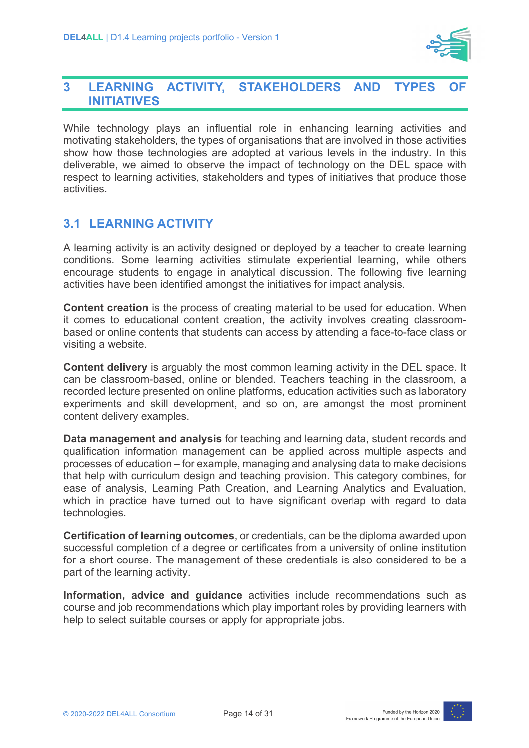

#### **3 LEARNING ACTIVITY, STAKEHOLDERS AND TYPES INITIATIVES**

While technology plays an influential role in enhancing learning activities and motivating stakeholders, the types of organisations that are involved in those activities show how those technologies are adopted at various levels in the industry. In this deliverable, we aimed to observe the impact of technology on the DEL space with respect to learning activities, stakeholders and types of initiatives that produce those activities.

#### **3.1 LEARNING ACTIVITY**

A learning activity is an activity designed or deployed by a teacher to create learning conditions. Some learning activities stimulate experiential learning, while others encourage students to engage in analytical discussion. The following five learning activities have been identified amongst the initiatives for impact analysis.

**Content creation** is the process of creating material to be used for education. When it comes to educational content creation, the activity involves creating classroombased or online contents that students can access by attending a face-to-face class or visiting a website.

**Content delivery** is arguably the most common learning activity in the DEL space. It can be classroom-based, online or blended. Teachers teaching in the classroom, a recorded lecture presented on online platforms, education activities such as laboratory experiments and skill development, and so on, are amongst the most prominent content delivery examples.

**Data management and analysis** for teaching and learning data, student records and qualification information management can be applied across multiple aspects and processes of education – for example, managing and analysing data to make decisions that help with curriculum design and teaching provision. This category combines, for ease of analysis, Learning Path Creation, and Learning Analytics and Evaluation, which in practice have turned out to have significant overlap with regard to data technologies.

**Certification of learning outcomes**, or credentials, can be the diploma awarded upon successful completion of a degree or certificates from a university of online institution for a short course. The management of these credentials is also considered to be a part of the learning activity.

**Information, advice and guidance** activities include recommendations such as course and job recommendations which play important roles by providing learners with help to select suitable courses or apply for appropriate jobs.

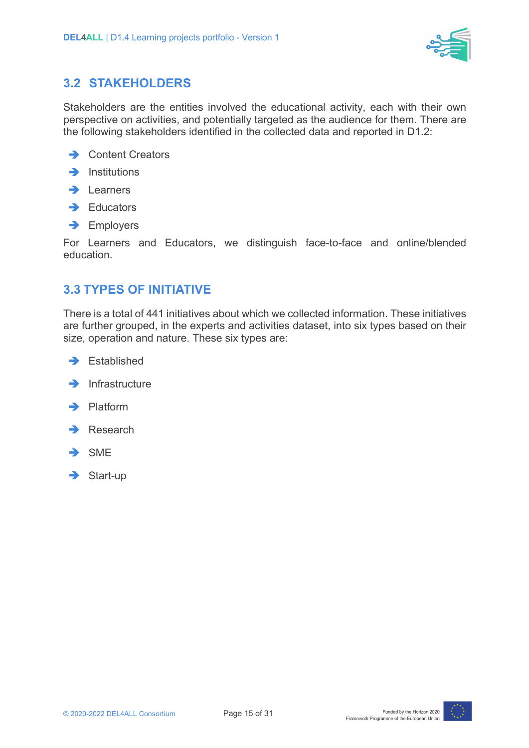

#### **3.2 STAKEHOLDERS**

Stakeholders are the entities involved the educational activity, each with their own perspective on activities, and potentially targeted as the audience for them. There are the following stakeholders identified in the collected data and reported in D1.2:

- $\rightarrow$  Content Creators
- $\rightarrow$  Institutions
- $\rightarrow$  Learners
- $\rightarrow$  Educators
- $\rightarrow$  Employers

For Learners and Educators, we distinguish face-to-face and online/blended education.

#### **3.3 TYPES OF INITIATIVE**

There is a total of 441 initiatives about which we collected information. These initiatives are further grouped, in the experts and activities dataset, into six types based on their size, operation and nature. These six types are:

 $\rightarrow$  Established



- $\rightarrow$  Platform
- $\rightarrow$  Research
- $\rightarrow$  SME
- $\rightarrow$  Start-up

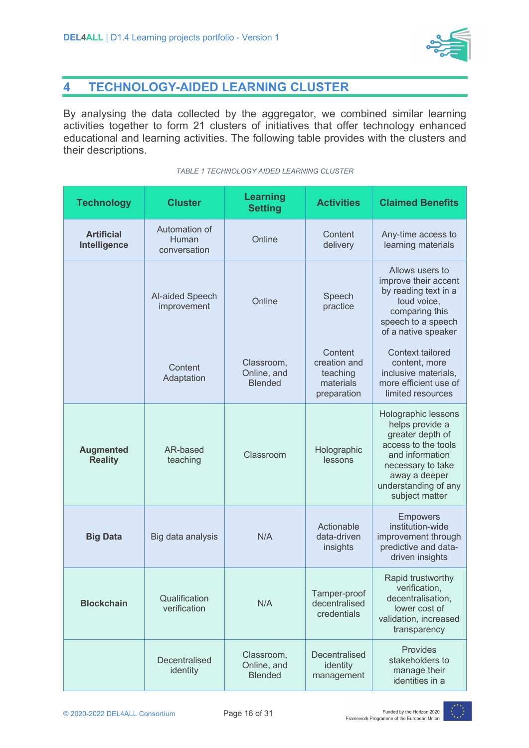

### **4 TECHNOLOGY-AIDED LEARNING CLUSTER**

By analysing the data collected by the aggregator, we combined similar learning activities together to form 21 clusters of initiatives that offer technology enhanced educational and learning activities. The following table provides with the clusters and their descriptions.

#### *TABLE 1 TECHNOLOGY AIDED LEARNING CLUSTER*

| <b>Technology</b>                  | <b>Cluster</b>                         | <b>Learning</b><br><b>Setting</b>           | <b>Activities</b>                                               | <b>Claimed Benefits</b>                                                                                                                                                              |
|------------------------------------|----------------------------------------|---------------------------------------------|-----------------------------------------------------------------|--------------------------------------------------------------------------------------------------------------------------------------------------------------------------------------|
| <b>Artificial</b><br>Intelligence  | Automation of<br>Human<br>conversation | Online                                      | Content<br>delivery                                             | Any-time access to<br>learning materials                                                                                                                                             |
|                                    | Al-aided Speech<br>improvement         | Online                                      | Speech<br>practice                                              | Allows users to<br>improve their accent<br>by reading text in a<br>loud voice,<br>comparing this<br>speech to a speech<br>of a native speaker                                        |
|                                    | Content<br>Adaptation                  | Classroom,<br>Online, and<br><b>Blended</b> | Content<br>creation and<br>teaching<br>materials<br>preparation | Context tailored<br>content, more<br>inclusive materials,<br>more efficient use of<br>limited resources                                                                              |
| <b>Augmented</b><br><b>Reality</b> | AR-based<br>teaching                   | Classroom                                   | Holographic<br>lessons                                          | Holographic lessons<br>helps provide a<br>greater depth of<br>access to the tools<br>and information<br>necessary to take<br>away a deeper<br>understanding of any<br>subject matter |
| <b>Big Data</b>                    | Big data analysis                      | N/A                                         | Actionable<br>data-driven<br>insights                           | <b>Empowers</b><br>institution-wide<br>improvement through<br>predictive and data-<br>driven insights                                                                                |
| <b>Blockchain</b>                  | Qualification<br>verification          | N/A                                         | Tamper-proof<br>decentralised<br>credentials                    | Rapid trustworthy<br>verification,<br>decentralisation,<br>lower cost of<br>validation, increased<br>transparency                                                                    |
|                                    | Decentralised<br>identity              | Classroom,<br>Online, and<br><b>Blended</b> | Decentralised<br>identity<br>management                         | Provides<br>stakeholders to<br>manage their<br>identities in a                                                                                                                       |

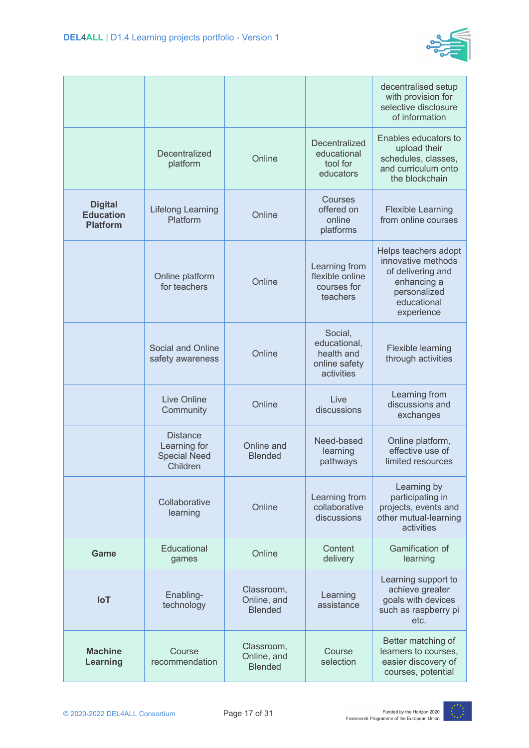

|                                                       |                                                                    |                                             |                                                                      | decentralised setup<br>with provision for<br>selective disclosure<br>of information                                         |
|-------------------------------------------------------|--------------------------------------------------------------------|---------------------------------------------|----------------------------------------------------------------------|-----------------------------------------------------------------------------------------------------------------------------|
|                                                       | Decentralized<br>platform                                          | Online                                      | Decentralized<br>educational<br>tool for<br>educators                | Enables educators to<br>upload their<br>schedules, classes,<br>and curriculum onto<br>the blockchain                        |
| <b>Digital</b><br><b>Education</b><br><b>Platform</b> | <b>Lifelong Learning</b><br>Platform                               | Online                                      | Courses<br>offered on<br>online<br>platforms                         | <b>Flexible Learning</b><br>from online courses                                                                             |
|                                                       | Online platform<br>for teachers                                    | Online                                      | Learning from<br>flexible online<br>courses for<br>teachers          | Helps teachers adopt<br>innovative methods<br>of delivering and<br>enhancing a<br>personalized<br>educational<br>experience |
|                                                       | Social and Online<br>safety awareness                              | Online                                      | Social,<br>educational,<br>health and<br>online safety<br>activities | Flexible learning<br>through activities                                                                                     |
|                                                       | <b>Live Online</b><br>Community                                    | Online                                      | Live<br>discussions                                                  | Learning from<br>discussions and<br>exchanges                                                                               |
|                                                       | <b>Distance</b><br>Learning for<br><b>Special Need</b><br>Children | Online and<br><b>Blended</b>                | Need-based<br>learning<br>pathways                                   | Online platform,<br>effective use of<br>limited resources                                                                   |
|                                                       | Collaborative<br>learning                                          | Online                                      | Learning from<br>collaborative<br>discussions                        | Learning by<br>participating in<br>projects, events and<br>other mutual-learning<br>activities                              |
| Game                                                  | Educational<br>games                                               | Online                                      | Content<br>delivery                                                  | Gamification of<br>learning                                                                                                 |
| <b>IoT</b>                                            | Enabling-<br>technology                                            | Classroom,<br>Online, and<br><b>Blended</b> | Learning<br>assistance                                               | Learning support to<br>achieve greater<br>goals with devices<br>such as raspberry pi<br>etc.                                |
| <b>Machine</b><br>Learning                            | Course<br>recommendation                                           | Classroom,<br>Online, and<br><b>Blended</b> | Course<br>selection                                                  | Better matching of<br>learners to courses,<br>easier discovery of<br>courses, potential                                     |
|                                                       |                                                                    |                                             |                                                                      |                                                                                                                             |

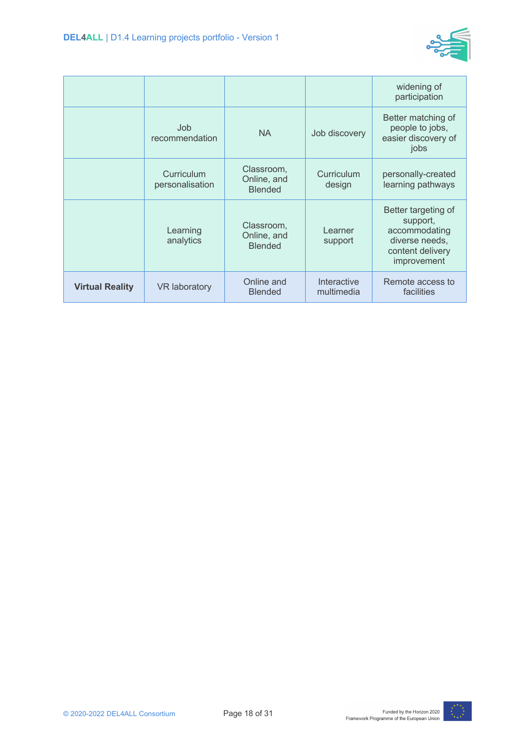

|                        |                               |                                             |                           | widening of<br>participation                                                                          |
|------------------------|-------------------------------|---------------------------------------------|---------------------------|-------------------------------------------------------------------------------------------------------|
|                        | Job<br>recommendation         | <b>NA</b>                                   | Job discovery             | Better matching of<br>people to jobs,<br>easier discovery of<br>jobs                                  |
|                        | Curriculum<br>personalisation | Classroom,<br>Online, and<br><b>Blended</b> | Curriculum<br>design      | personally-created<br>learning pathways                                                               |
|                        | Learning<br>analytics         | Classroom,<br>Online, and<br><b>Blended</b> | Learner<br>support        | Better targeting of<br>support,<br>accommodating<br>diverse needs,<br>content delivery<br>improvement |
| <b>Virtual Reality</b> | <b>VR</b> laboratory          | Online and<br><b>Blended</b>                | Interactive<br>multimedia | Remote access to<br>facilities                                                                        |

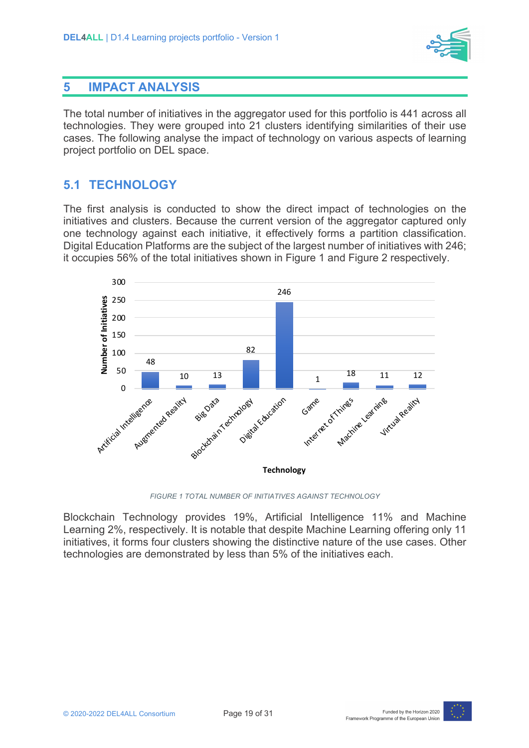

#### **5 IMPACT ANALYSIS**

The total number of initiatives in the aggregator used for this portfolio is 441 across all technologies. They were grouped into 21 clusters identifying similarities of their use cases. The following analyse the impact of technology on various aspects of learning project portfolio on DEL space.

#### **5.1 TECHNOLOGY**

The first analysis is conducted to show the direct impact of technologies on the initiatives and clusters. Because the current version of the aggregator captured only one technology against each initiative, it effectively forms a partition classification. Digital Education Platforms are the subject of the largest number of initiatives with 246; it occupies 56% of the total initiatives shown in Figure 1 and Figure 2 respectively.



*FIGURE 1 TOTAL NUMBER OF INITIATIVES AGAINST TECHNOLOGY*

Blockchain Technology provides 19%, Artificial Intelligence 11% and Machine Learning 2%, respectively. It is notable that despite Machine Learning offering only 11 initiatives, it forms four clusters showing the distinctive nature of the use cases. Other technologies are demonstrated by less than 5% of the initiatives each.

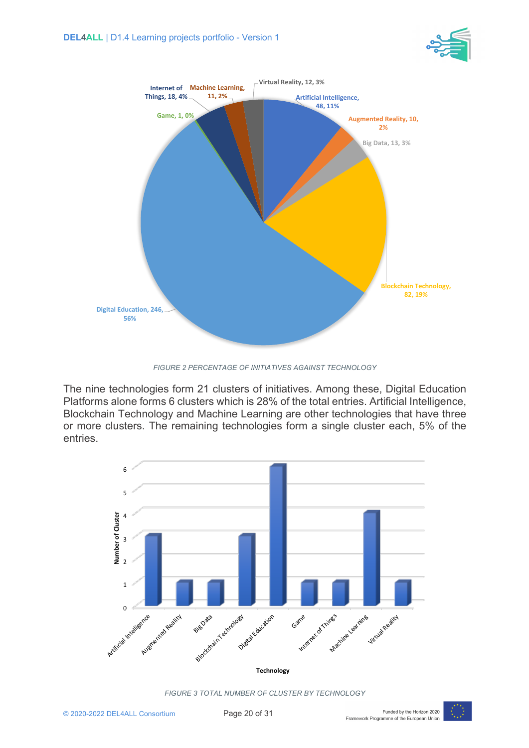



*FIGURE 2 PERCENTAGE OF INITIATIVES AGAINST TECHNOLOGY*

The nine technologies form 21 clusters of initiatives. Among these, Digital Education Platforms alone forms 6 clusters which is 28% of the total entries. Artificial Intelligence, Blockchain Technology and Machine Learning are other technologies that have three or more clusters. The remaining technologies form a single cluster each, 5% of the entries.



*FIGURE 3 TOTAL NUMBER OF CLUSTER BY TECHNOLOGY*

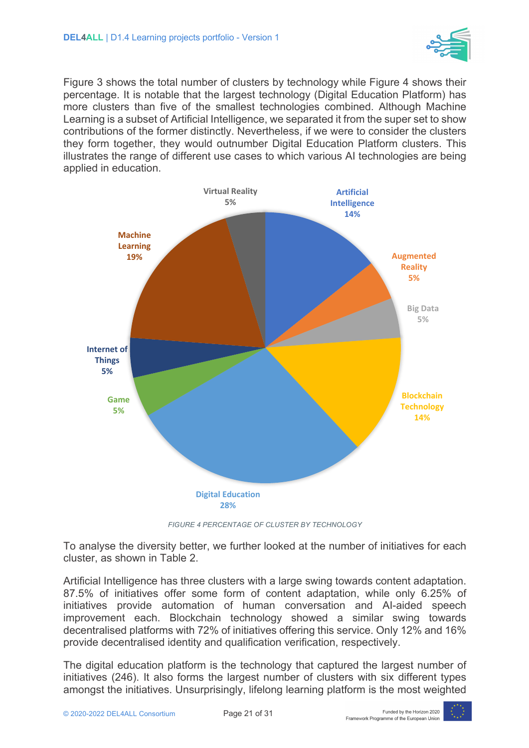

Figure 3 shows the total number of clusters by technology while Figure 4 shows their percentage. It is notable that the largest technology (Digital Education Platform) has more clusters than five of the smallest technologies combined. Although Machine Learning is a subset of Artificial Intelligence, we separated it from the super set to show contributions of the former distinctly. Nevertheless, if we were to consider the clusters they form together, they would outnumber Digital Education Platform clusters. This illustrates the range of different use cases to which various AI technologies are being applied in education.



*FIGURE 4 PERCENTAGE OF CLUSTER BY TECHNOLOGY*

To analyse the diversity better, we further looked at the number of initiatives for each cluster, as shown in Table 2.

Artificial Intelligence has three clusters with a large swing towards content adaptation. 87.5% of initiatives offer some form of content adaptation, while only 6.25% of initiatives provide automation of human conversation and AI-aided speech improvement each. Blockchain technology showed a similar swing towards decentralised platforms with 72% of initiatives offering this service. Only 12% and 16% provide decentralised identity and qualification verification, respectively.

The digital education platform is the technology that captured the largest number of initiatives (246). It also forms the largest number of clusters with six different types amongst the initiatives. Unsurprisingly, lifelong learning platform is the most weighted

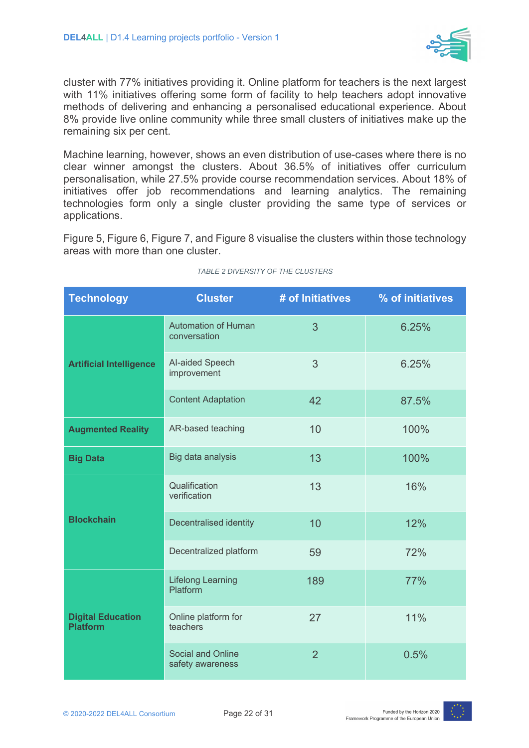

cluster with 77% initiatives providing it. Online platform for teachers is the next largest with 11% initiatives offering some form of facility to help teachers adopt innovative methods of delivering and enhancing a personalised educational experience. About 8% provide live online community while three small clusters of initiatives make up the remaining six per cent.

Machine learning, however, shows an even distribution of use-cases where there is no clear winner amongst the clusters. About 36.5% of initiatives offer curriculum personalisation, while 27.5% provide course recommendation services. About 18% of initiatives offer job recommendations and learning analytics. The remaining technologies form only a single cluster providing the same type of services or applications.

Figure 5, Figure 6, Figure 7, and Figure 8 visualise the clusters within those technology areas with more than one cluster.

| <b>Technology</b>                           | <b>Cluster</b>                               | # of Initiatives | % of initiatives |
|---------------------------------------------|----------------------------------------------|------------------|------------------|
| <b>Artificial Intelligence</b>              | <b>Automation of Human</b><br>conversation   | 3                | 6.25%            |
|                                             | Al-aided Speech<br>improvement               | 3                | 6.25%            |
|                                             | <b>Content Adaptation</b>                    | 42               | 87.5%            |
| <b>Augmented Reality</b>                    | AR-based teaching                            | 10               | 100%             |
| <b>Big Data</b>                             | Big data analysis                            | 13               | 100%             |
| <b>Blockchain</b>                           | Qualification<br>verification                | 13               | 16%              |
|                                             | Decentralised identity                       | 10               | 12%              |
|                                             | Decentralized platform                       | 59               | 72%              |
| <b>Digital Education</b><br><b>Platform</b> | <b>Lifelong Learning</b><br>Platform         | 189              | 77%              |
|                                             | Online platform for<br>teachers              | 27               | 11%              |
|                                             | <b>Social and Online</b><br>safety awareness | $\overline{2}$   | 0.5%             |

#### *TABLE 2 DIVERSITY OF THE CLUSTERS*

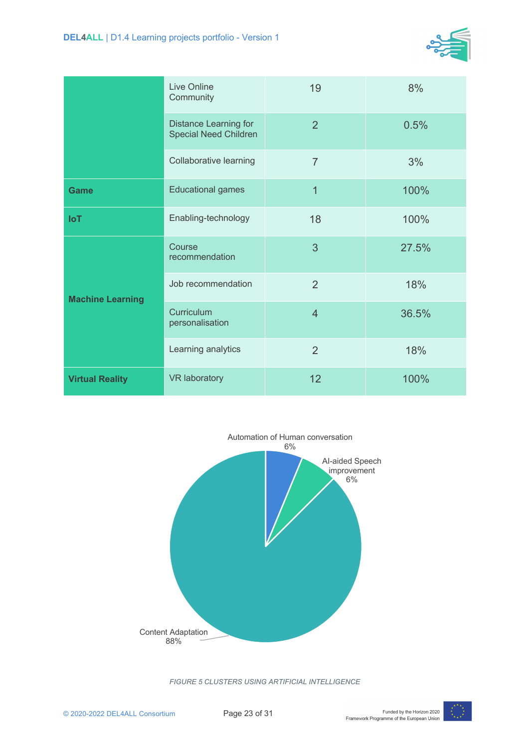

|                         | <b>Live Online</b><br>Community                              | 19             | 8%    |
|-------------------------|--------------------------------------------------------------|----------------|-------|
|                         | <b>Distance Learning for</b><br><b>Special Need Children</b> | $\overline{2}$ | 0.5%  |
|                         | Collaborative learning                                       | $\overline{7}$ | 3%    |
| <b>Game</b>             | <b>Educational games</b>                                     | $\overline{1}$ | 100%  |
| <b>IoT</b>              | Enabling-technology                                          | 18             | 100%  |
| <b>Machine Learning</b> | Course<br>recommendation                                     | 3              | 27.5% |
|                         | Job recommendation                                           | $\overline{2}$ | 18%   |
|                         | Curriculum<br>personalisation                                | $\overline{4}$ | 36.5% |
|                         | Learning analytics                                           | $\overline{2}$ | 18%   |
| <b>Virtual Reality</b>  | <b>VR laboratory</b>                                         | 12             | 100%  |



*FIGURE 5 CLUSTERS USING ARTIFICIAL INTELLIGENCE*

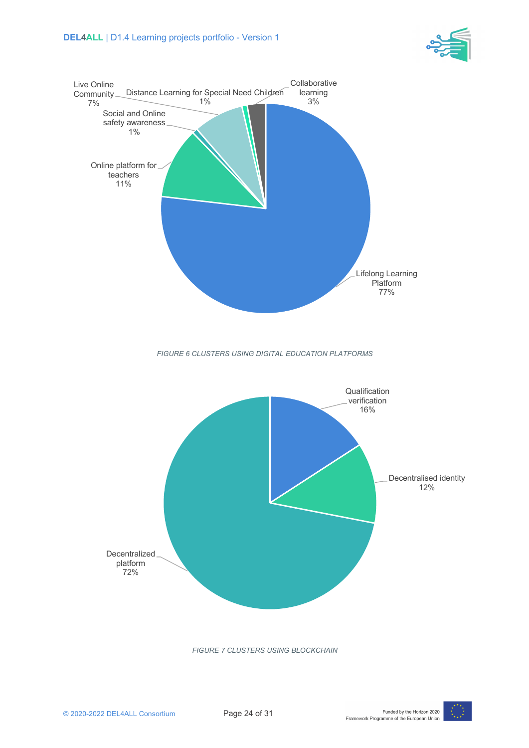



*FIGURE 7 CLUSTERS USING BLOCKCHAIN*

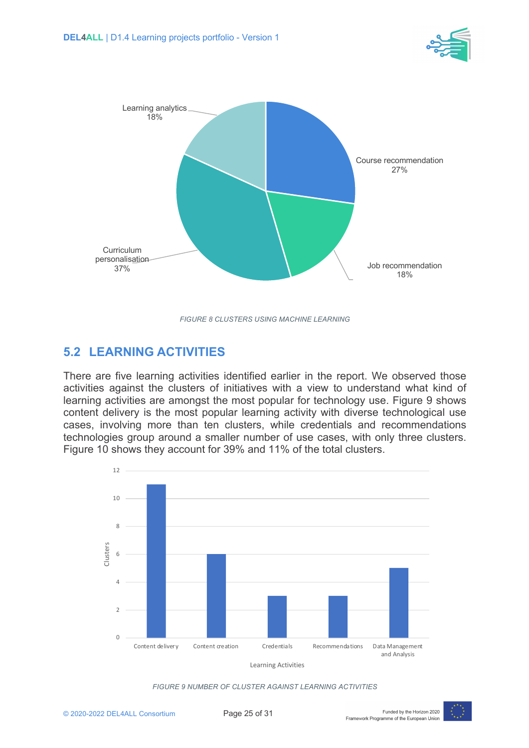



*FIGURE 8 CLUSTERS USING MACHINE LEARNING*

### **5.2 LEARNING ACTIVITIES**

There are five learning activities identified earlier in the report. We observed those activities against the clusters of initiatives with a view to understand what kind of learning activities are amongst the most popular for technology use. Figure 9 shows content delivery is the most popular learning activity with diverse technological use cases, involving more than ten clusters, while credentials and recommendations technologies group around a smaller number of use cases, with only three clusters. Figure 10 shows they account for 39% and 11% of the total clusters.





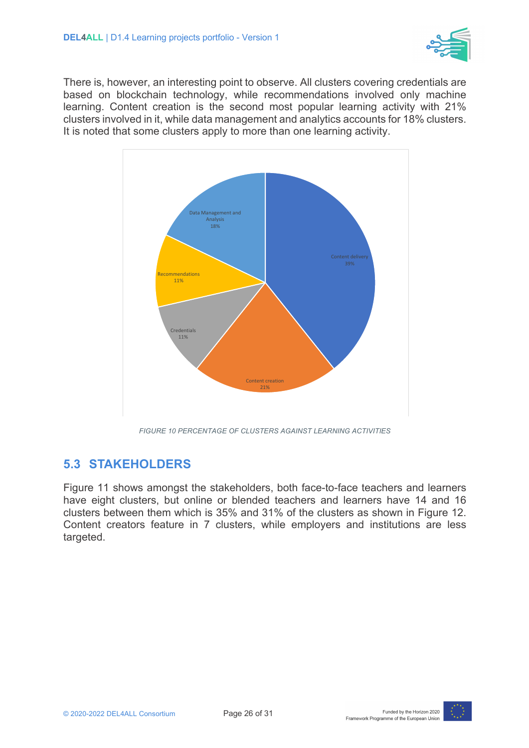

There is, however, an interesting point to observe. All clusters covering credentials are based on blockchain technology, while recommendations involved only machine learning. Content creation is the second most popular learning activity with 21% clusters involved in it, while data management and analytics accounts for 18% clusters. It is noted that some clusters apply to more than one learning activity.



*FIGURE 10 PERCENTAGE OF CLUSTERS AGAINST LEARNING ACTIVITIES*

#### **5.3 STAKEHOLDERS**

Figure 11 shows amongst the stakeholders, both face-to-face teachers and learners have eight clusters, but online or blended teachers and learners have 14 and 16 clusters between them which is 35% and 31% of the clusters as shown in Figure 12. Content creators feature in 7 clusters, while employers and institutions are less targeted.

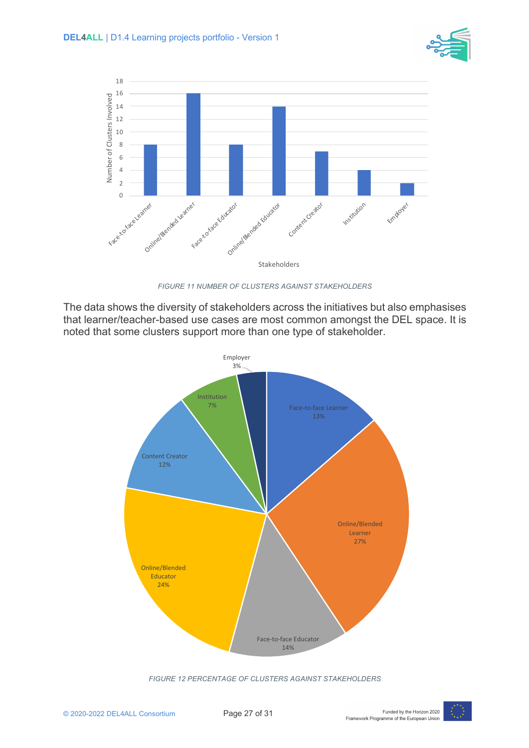



*FIGURE 11 NUMBER OF CLUSTERS AGAINST STAKEHOLDERS*

The data shows the diversity of stakeholders across the initiatives but also emphasises that learner/teacher-based use cases are most common amongst the DEL space. It is noted that some clusters support more than one type of stakeholder.



*FIGURE 12 PERCENTAGE OF CLUSTERS AGAINST STAKEHOLDERS*

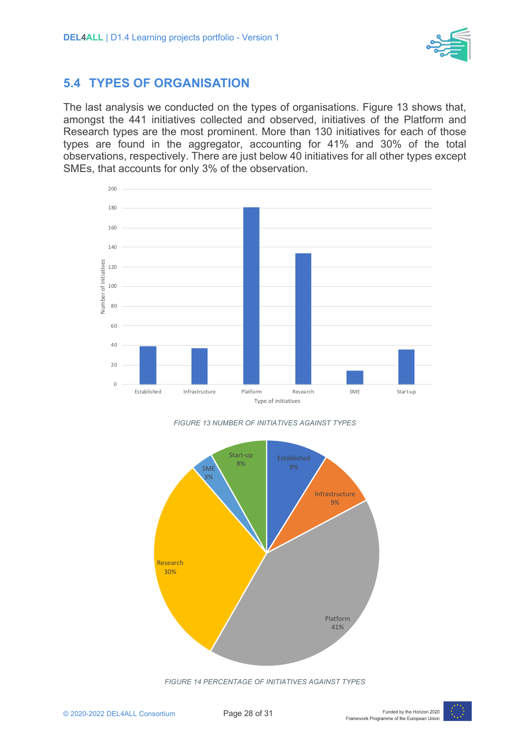

#### **5.4 TYPES OF ORGANISATION**

The last analysis we conducted on the types of organisations. Figure 13 shows that, amongst the 441 initiatives collected and observed, initiatives of the Platform and Research types are the most prominent. More than 130 initiatives for each of those types are found in the aggregator, accounting for 41% and 30% of the total observations, respectively. There are just below 40 initiatives for all other types except SMEs, that accounts for only 3% of the observation.









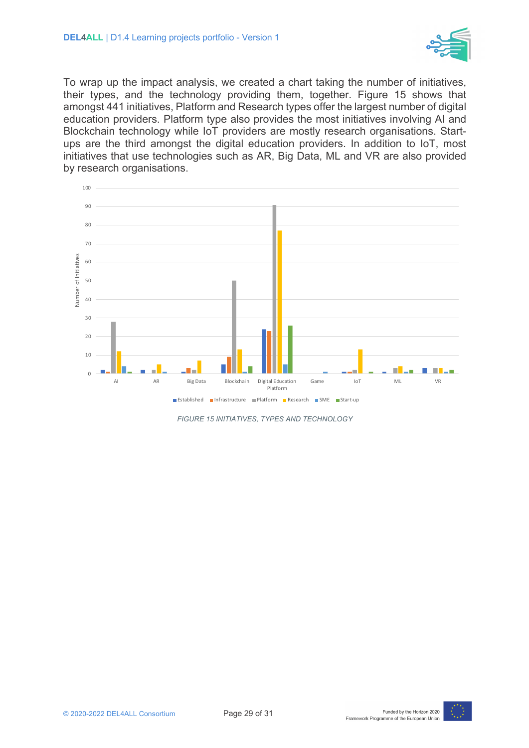

To wrap up the impact analysis, we created a chart taking the number of initiatives, their types, and the technology providing them, together. Figure 15 shows that amongst 441 initiatives, Platform and Research types offer the largest number of digital education providers. Platform type also provides the most initiatives involving AI and Blockchain technology while IoT providers are mostly research organisations. Startups are the third amongst the digital education providers. In addition to IoT, most initiatives that use technologies such as AR, Big Data, ML and VR are also provided by research organisations.



*FIGURE 15 INITIATIVES, TYPES AND TECHNOLOGY*

![](_page_28_Picture_8.jpeg)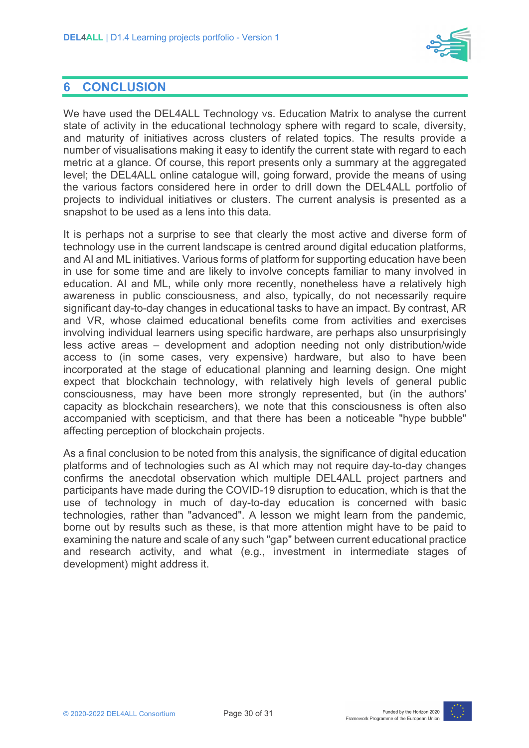![](_page_29_Picture_1.jpeg)

#### **6 CONCLUSION**

We have used the DEL4ALL Technology vs. Education Matrix to analyse the current state of activity in the educational technology sphere with regard to scale, diversity, and maturity of initiatives across clusters of related topics. The results provide a number of visualisations making it easy to identify the current state with regard to each metric at a glance. Of course, this report presents only a summary at the aggregated level; the DEL4ALL online catalogue will, going forward, provide the means of using the various factors considered here in order to drill down the DEL4ALL portfolio of projects to individual initiatives or clusters. The current analysis is presented as a snapshot to be used as a lens into this data.

It is perhaps not a surprise to see that clearly the most active and diverse form of technology use in the current landscape is centred around digital education platforms, and AI and ML initiatives. Various forms of platform for supporting education have been in use for some time and are likely to involve concepts familiar to many involved in education. AI and ML, while only more recently, nonetheless have a relatively high awareness in public consciousness, and also, typically, do not necessarily require significant day-to-day changes in educational tasks to have an impact. By contrast, AR and VR, whose claimed educational benefits come from activities and exercises involving individual learners using specific hardware, are perhaps also unsurprisingly less active areas – development and adoption needing not only distribution/wide access to (in some cases, very expensive) hardware, but also to have been incorporated at the stage of educational planning and learning design. One might expect that blockchain technology, with relatively high levels of general public consciousness, may have been more strongly represented, but (in the authors' capacity as blockchain researchers), we note that this consciousness is often also accompanied with scepticism, and that there has been a noticeable "hype bubble" affecting perception of blockchain projects.

As a final conclusion to be noted from this analysis, the significance of digital education platforms and of technologies such as AI which may not require day-to-day changes confirms the anecdotal observation which multiple DEL4ALL project partners and participants have made during the COVID-19 disruption to education, which is that the use of technology in much of day-to-day education is concerned with basic technologies, rather than "advanced". A lesson we might learn from the pandemic, borne out by results such as these, is that more attention might have to be paid to examining the nature and scale of any such "gap" between current educational practice and research activity, and what (e.g., investment in intermediate stages of development) might address it.

![](_page_29_Picture_9.jpeg)